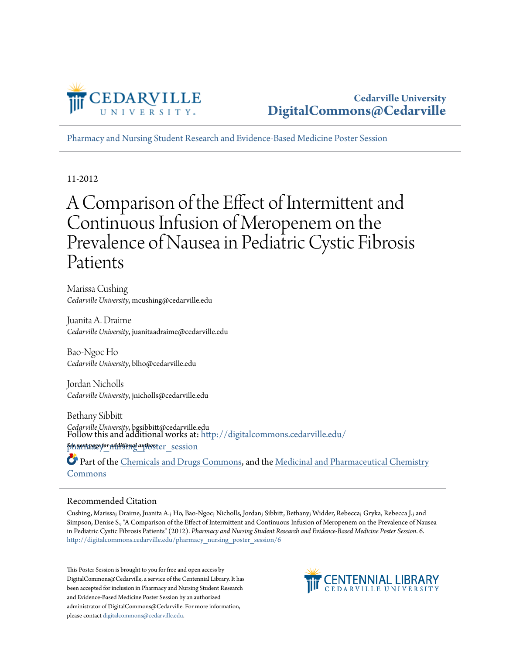

[Pharmacy and Nursing Student Research and Evidence-Based Medicine Poster Session](http://digitalcommons.cedarville.edu/pharmacy_nursing_poster_session?utm_source=digitalcommons.cedarville.edu%2Fpharmacy_nursing_poster_session%2F6&utm_medium=PDF&utm_campaign=PDFCoverPages)

11-2012

#### A Comparison of the Effect of Intermittent and Continuous Infusion of Meropenem on the Prevalence of Nausea in Pediatric Cystic Fibrosis Patients

Marissa Cushing *Cedarville University*, mcushing@cedarville.edu

Juanita A. Draime *Cedarville University*, juanitaadraime@cedarville.edu

Bao-Ngoc Ho *Cedarville University*, blho@cedarville.edu

Jordan Nicholls *Cedarville University*, jnicholls@cedarville.edu

Bethany Sibbitt *Cedarville University*, bgsibbitt@cedarville.edu **Schnext page for additional authors t**er\_session Follow this and additional works at: [http://digitalcommons.cedarville.edu/](http://digitalcommons.cedarville.edu/pharmacy_nursing_poster_session?utm_source=digitalcommons.cedarville.edu%2Fpharmacy_nursing_poster_session%2F6&utm_medium=PDF&utm_campaign=PDFCoverPages)

Part of the [Chemicals and Drugs Commons,](http://network.bepress.com/hgg/discipline/902?utm_source=digitalcommons.cedarville.edu%2Fpharmacy_nursing_poster_session%2F6&utm_medium=PDF&utm_campaign=PDFCoverPages) and the [Medicinal and Pharmaceutical Chemistry](http://network.bepress.com/hgg/discipline/734?utm_source=digitalcommons.cedarville.edu%2Fpharmacy_nursing_poster_session%2F6&utm_medium=PDF&utm_campaign=PDFCoverPages) [Commons](http://network.bepress.com/hgg/discipline/734?utm_source=digitalcommons.cedarville.edu%2Fpharmacy_nursing_poster_session%2F6&utm_medium=PDF&utm_campaign=PDFCoverPages)

#### Recommended Citation

Cushing, Marissa; Draime, Juanita A.; Ho, Bao-Ngoc; Nicholls, Jordan; Sibbitt, Bethany; Widder, Rebecca; Gryka, Rebecca J.; and Simpson, Denise S., "A Comparison of the Effect of Intermittent and Continuous Infusion of Meropenem on the Prevalence of Nausea in Pediatric Cystic Fibrosis Patients" (2012). *Pharmacy and Nursing Student Research and Evidence-Based Medicine Poster Session*. 6. [http://digitalcommons.cedarville.edu/pharmacy\\_nursing\\_poster\\_session/6](http://digitalcommons.cedarville.edu/pharmacy_nursing_poster_session/6?utm_source=digitalcommons.cedarville.edu%2Fpharmacy_nursing_poster_session%2F6&utm_medium=PDF&utm_campaign=PDFCoverPages)

This Poster Session is brought to you for free and open access by DigitalCommons@Cedarville, a service of the Centennial Library. It has been accepted for inclusion in Pharmacy and Nursing Student Research and Evidence-Based Medicine Poster Session by an authorized administrator of DigitalCommons@Cedarville. For more information, please contact [digitalcommons@cedarville.edu.](mailto:digitalcommons@cedarville.edu)

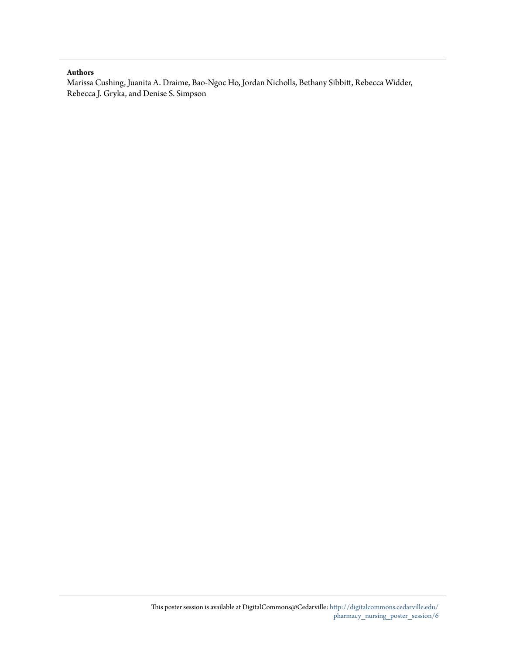#### **Authors**

Marissa Cushing, Juanita A. Draime, Bao-Ngoc Ho, Jordan Nicholls, Bethany Sibbitt, Rebecca Widder, Rebecca J. Gryka, and Denise S. Simpson